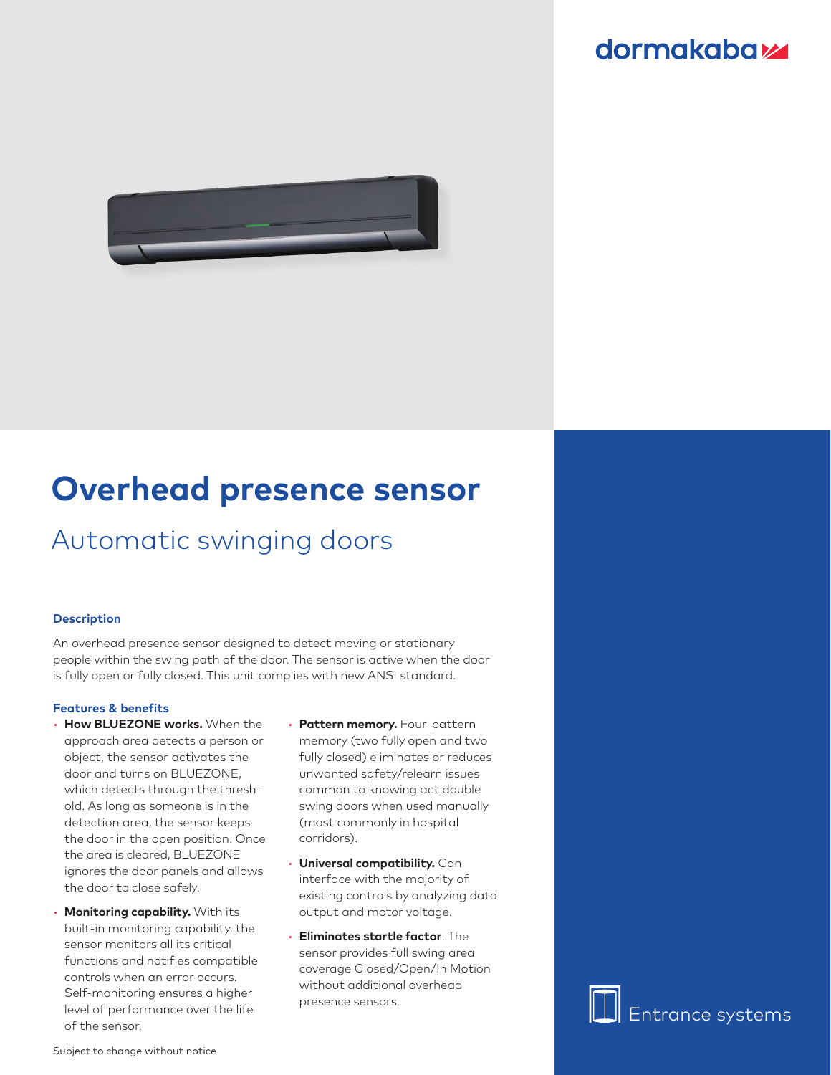### **dormakabazz**



# **Overhead presence sensor**

## Automatic swinging doors

#### **Description**

An overhead presence sensor designed to detect moving or stationary people within the swing path of the door. The sensor is active when the door is fully open or fully closed. This unit complies with new ANSI standard.

#### **Features & benefits**

- **How BLUEZONE works.** When the approach area detects a person or object, the sensor activates the door and turns on BLUEZONE, which detects through the threshold. As long as someone is in the detection area, the sensor keeps the door in the open position. Once the area is cleared, BLUEZONE ignores the door panels and allows the door to close safely.
- **Monitoring capability.** With its built-in monitoring capability, the sensor monitors all its critical functions and notifies compatible controls when an error occurs. Self-monitoring ensures a higher level of performance over the life of the sensor.
- **Pattern memory.** Four-pattern memory (two fully open and two fully closed) eliminates or reduces unwanted safety/relearn issues common to knowing act double swing doors when used manually (most commonly in hospital corridors).
- **Universal compatibility.** Can interface with the majority of existing controls by analyzing data output and motor voltage.
- **Eliminates startle factor**. The sensor provides full swing area coverage Closed/Open/In Motion without additional overhead presence sensors.